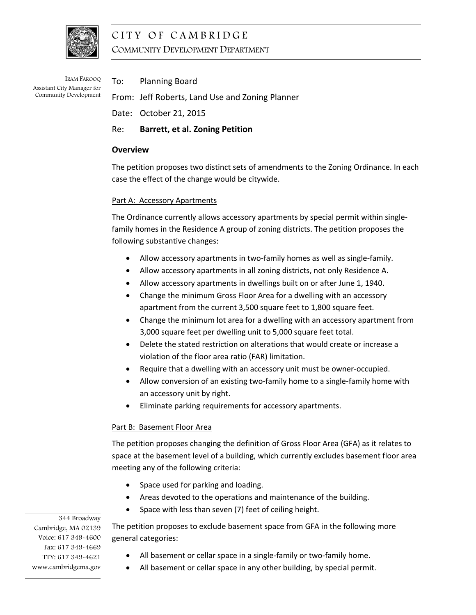

# CITY OF CAMBRIDGE COMMUNITY DEVELOPMENT DEPARTMENT

IRAM FAROOQ Assistant City Manager for Community Development To: Planning Board

From: Jeff Roberts, Land Use and Zoning Planner

- Date: October 21, 2015
- Re: **Barrett, et al. Zoning Petition**

# **Overview**

The petition proposes two distinct sets of amendments to the Zoning Ordinance. In each case the effect of the change would be citywide.

## Part A: Accessory Apartments

The Ordinance currently allows accessory apartments by special permit within single‐ family homes in the Residence A group of zoning districts. The petition proposes the following substantive changes:

- Allow accessory apartments in two‐family homes as well as single‐family.
- Allow accessory apartments in all zoning districts, not only Residence A.
- Allow accessory apartments in dwellings built on or after June 1, 1940.
- Change the minimum Gross Floor Area for a dwelling with an accessory apartment from the current 3,500 square feet to 1,800 square feet.
- Change the minimum lot area for a dwelling with an accessory apartment from 3,000 square feet per dwelling unit to 5,000 square feet total.
- Delete the stated restriction on alterations that would create or increase a violation of the floor area ratio (FAR) limitation.
- Require that a dwelling with an accessory unit must be owner‐occupied.
- Allow conversion of an existing two‐family home to a single‐family home with an accessory unit by right.
- Eliminate parking requirements for accessory apartments.

# Part B: Basement Floor Area

The petition proposes changing the definition of Gross Floor Area (GFA) as it relates to space at the basement level of a building, which currently excludes basement floor area meeting any of the following criteria:

- Space used for parking and loading.
- Areas devoted to the operations and maintenance of the building.
- Space with less than seven (7) feet of ceiling height.

The petition proposes to exclude basement space from GFA in the following more general categories:

- All basement or cellar space in a single-family or two-family home.
- All basement or cellar space in any other building, by special permit.

344 Broadway Cambridge, MA 02139 Voice: 617 349-4600 Fax: 617 349-4669 TTY: 617 349-4621 www.cambridgema.gov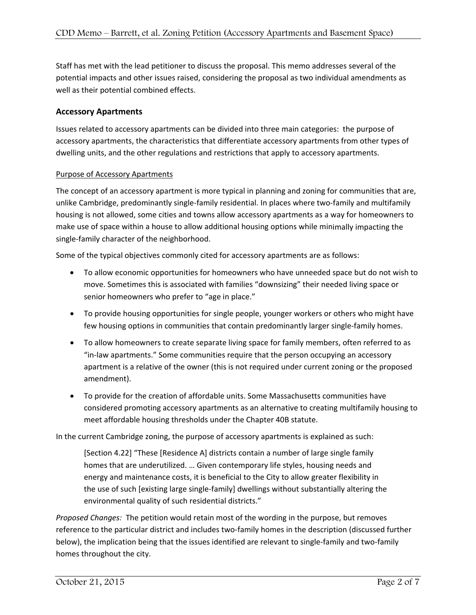Staff has met with the lead petitioner to discuss the proposal. This memo addresses several of the potential impacts and other issues raised, considering the proposal as two individual amendments as well as their potential combined effects.

# **Accessory Apartments**

Issues related to accessory apartments can be divided into three main categories: the purpose of accessory apartments, the characteristics that differentiate accessory apartments from other types of dwelling units, and the other regulations and restrictions that apply to accessory apartments.

## Purpose of Accessory Apartments

The concept of an accessory apartment is more typical in planning and zoning for communities that are, unlike Cambridge, predominantly single‐family residential. In places where two‐family and multifamily housing is not allowed, some cities and towns allow accessory apartments as a way for homeowners to make use of space within a house to allow additional housing options while minimally impacting the single-family character of the neighborhood.

Some of the typical objectives commonly cited for accessory apartments are as follows:

- To allow economic opportunities for homeowners who have unneeded space but do not wish to move. Sometimes this is associated with families "downsizing" their needed living space or senior homeowners who prefer to "age in place."
- To provide housing opportunities for single people, younger workers or others who might have few housing options in communities that contain predominantly larger single-family homes.
- To allow homeowners to create separate living space for family members, often referred to as "in‐law apartments." Some communities require that the person occupying an accessory apartment is a relative of the owner (this is not required under current zoning or the proposed amendment).
- To provide for the creation of affordable units. Some Massachusetts communities have considered promoting accessory apartments as an alternative to creating multifamily housing to meet affordable housing thresholds under the Chapter 40B statute.

In the current Cambridge zoning, the purpose of accessory apartments is explained as such:

[Section 4.22] "These [Residence A] districts contain a number of large single family homes that are underutilized. … Given contemporary life styles, housing needs and energy and maintenance costs, it is beneficial to the City to allow greater flexibility in the use of such [existing large single‐family] dwellings without substantially altering the environmental quality of such residential districts."

*Proposed Changes:* The petition would retain most of the wording in the purpose, but removes reference to the particular district and includes two-family homes in the description (discussed further below), the implication being that the issues identified are relevant to single-family and two-family homes throughout the city.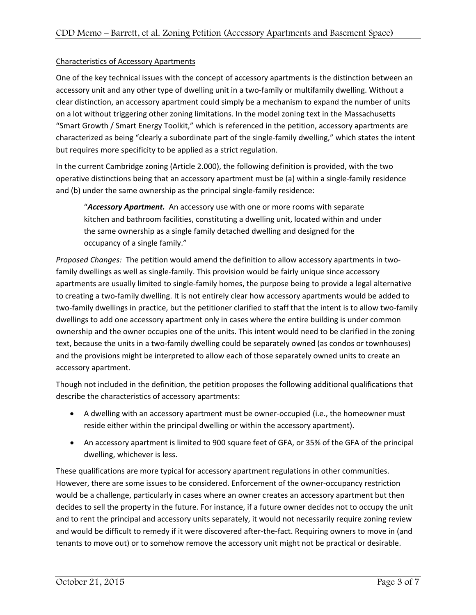## Characteristics of Accessory Apartments

One of the key technical issues with the concept of accessory apartments is the distinction between an accessory unit and any other type of dwelling unit in a two-family or multifamily dwelling. Without a clear distinction, an accessory apartment could simply be a mechanism to expand the number of units on a lot without triggering other zoning limitations. In the model zoning text in the Massachusetts "Smart Growth / Smart Energy Toolkit," which is referenced in the petition, accessory apartments are characterized as being "clearly a subordinate part of the single‐family dwelling," which states the intent but requires more specificity to be applied as a strict regulation.

In the current Cambridge zoning (Article 2.000), the following definition is provided, with the two operative distinctions being that an accessory apartment must be (a) within a single‐family residence and (b) under the same ownership as the principal single-family residence:

"*Accessory Apartment.* An accessory use with one or more rooms with separate kitchen and bathroom facilities, constituting a dwelling unit, located within and under the same ownership as a single family detached dwelling and designed for the occupancy of a single family."

*Proposed Changes:* The petition would amend the definition to allow accessory apartments in two‐ family dwellings as well as single‐family. This provision would be fairly unique since accessory apartments are usually limited to single‐family homes, the purpose being to provide a legal alternative to creating a two‐family dwelling. It is not entirely clear how accessory apartments would be added to two-family dwellings in practice, but the petitioner clarified to staff that the intent is to allow two-family dwellings to add one accessory apartment only in cases where the entire building is under common ownership and the owner occupies one of the units. This intent would need to be clarified in the zoning text, because the units in a two-family dwelling could be separately owned (as condos or townhouses) and the provisions might be interpreted to allow each of those separately owned units to create an accessory apartment.

Though not included in the definition, the petition proposes the following additional qualifications that describe the characteristics of accessory apartments:

- A dwelling with an accessory apartment must be owner-occupied (i.e., the homeowner must reside either within the principal dwelling or within the accessory apartment).
- An accessory apartment is limited to 900 square feet of GFA, or 35% of the GFA of the principal dwelling, whichever is less.

These qualifications are more typical for accessory apartment regulations in other communities. However, there are some issues to be considered. Enforcement of the owner‐occupancy restriction would be a challenge, particularly in cases where an owner creates an accessory apartment but then decides to sell the property in the future. For instance, if a future owner decides not to occupy the unit and to rent the principal and accessory units separately, it would not necessarily require zoning review and would be difficult to remedy if it were discovered after-the-fact. Requiring owners to move in (and tenants to move out) or to somehow remove the accessory unit might not be practical or desirable.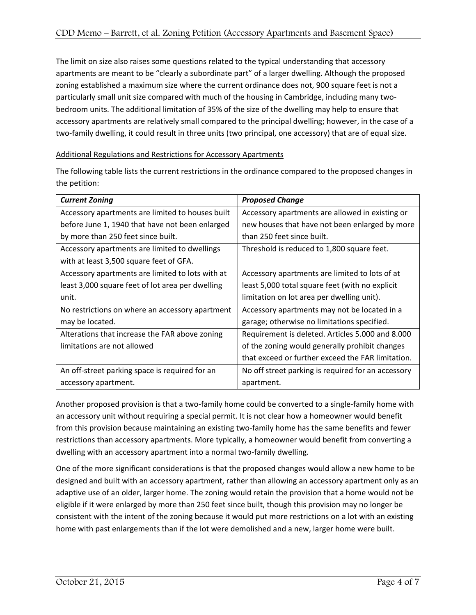The limit on size also raises some questions related to the typical understanding that accessory apartments are meant to be "clearly a subordinate part" of a larger dwelling. Although the proposed zoning established a maximum size where the current ordinance does not, 900 square feet is not a particularly small unit size compared with much of the housing in Cambridge, including many twobedroom units. The additional limitation of 35% of the size of the dwelling may help to ensure that accessory apartments are relatively small compared to the principal dwelling; however, in the case of a two‐family dwelling, it could result in three units (two principal, one accessory) that are of equal size.

## Additional Regulations and Restrictions for Accessory Apartments

The following table lists the current restrictions in the ordinance compared to the proposed changes in the petition:

| <b>Current Zoning</b>                            | <b>Proposed Change</b>                             |
|--------------------------------------------------|----------------------------------------------------|
| Accessory apartments are limited to houses built | Accessory apartments are allowed in existing or    |
| before June 1, 1940 that have not been enlarged  | new houses that have not been enlarged by more     |
| by more than 250 feet since built.               | than 250 feet since built.                         |
| Accessory apartments are limited to dwellings    | Threshold is reduced to 1,800 square feet.         |
| with at least 3,500 square feet of GFA.          |                                                    |
| Accessory apartments are limited to lots with at | Accessory apartments are limited to lots of at     |
| least 3,000 square feet of lot area per dwelling | least 5,000 total square feet (with no explicit    |
| unit.                                            | limitation on lot area per dwelling unit).         |
| No restrictions on where an accessory apartment  | Accessory apartments may not be located in a       |
| may be located.                                  | garage; otherwise no limitations specified.        |
| Alterations that increase the FAR above zoning   | Requirement is deleted. Articles 5.000 and 8.000   |
| limitations are not allowed                      | of the zoning would generally prohibit changes     |
|                                                  | that exceed or further exceed the FAR limitation.  |
| An off-street parking space is required for an   | No off street parking is required for an accessory |
| accessory apartment.                             | apartment.                                         |

Another proposed provision is that a two‐family home could be converted to a single‐family home with an accessory unit without requiring a special permit. It is not clear how a homeowner would benefit from this provision because maintaining an existing two-family home has the same benefits and fewer restrictions than accessory apartments. More typically, a homeowner would benefit from converting a dwelling with an accessory apartment into a normal two-family dwelling.

One of the more significant considerations is that the proposed changes would allow a new home to be designed and built with an accessory apartment, rather than allowing an accessory apartment only as an adaptive use of an older, larger home. The zoning would retain the provision that a home would not be eligible if it were enlarged by more than 250 feet since built, though this provision may no longer be consistent with the intent of the zoning because it would put more restrictions on a lot with an existing home with past enlargements than if the lot were demolished and a new, larger home were built.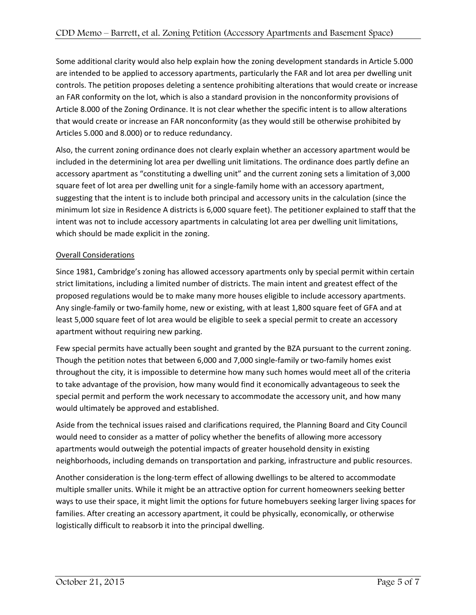Some additional clarity would also help explain how the zoning development standards in Article 5.000 are intended to be applied to accessory apartments, particularly the FAR and lot area per dwelling unit controls. The petition proposes deleting a sentence prohibiting alterations that would create or increase an FAR conformity on the lot, which is also a standard provision in the nonconformity provisions of Article 8.000 of the Zoning Ordinance. It is not clear whether the specific intent is to allow alterations that would create or increase an FAR nonconformity (as they would still be otherwise prohibited by Articles 5.000 and 8.000) or to reduce redundancy.

Also, the current zoning ordinance does not clearly explain whether an accessory apartment would be included in the determining lot area per dwelling unit limitations. The ordinance does partly define an accessory apartment as "constituting a dwelling unit" and the current zoning sets a limitation of 3,000 square feet of lot area per dwelling unit for a single-family home with an accessory apartment, suggesting that the intent is to include both principal and accessory units in the calculation (since the minimum lot size in Residence A districts is 6,000 square feet). The petitioner explained to staff that the intent was not to include accessory apartments in calculating lot area per dwelling unit limitations, which should be made explicit in the zoning.

# Overall Considerations

Since 1981, Cambridge's zoning has allowed accessory apartments only by special permit within certain strict limitations, including a limited number of districts. The main intent and greatest effect of the proposed regulations would be to make many more houses eligible to include accessory apartments. Any single‐family or two‐family home, new or existing, with at least 1,800 square feet of GFA and at least 5,000 square feet of lot area would be eligible to seek a special permit to create an accessory apartment without requiring new parking.

Few special permits have actually been sought and granted by the BZA pursuant to the current zoning. Though the petition notes that between 6,000 and 7,000 single‐family or two‐family homes exist throughout the city, it is impossible to determine how many such homes would meet all of the criteria to take advantage of the provision, how many would find it economically advantageous to seek the special permit and perform the work necessary to accommodate the accessory unit, and how many would ultimately be approved and established.

Aside from the technical issues raised and clarifications required, the Planning Board and City Council would need to consider as a matter of policy whether the benefits of allowing more accessory apartments would outweigh the potential impacts of greater household density in existing neighborhoods, including demands on transportation and parking, infrastructure and public resources.

Another consideration is the long‐term effect of allowing dwellings to be altered to accommodate multiple smaller units. While it might be an attractive option for current homeowners seeking better ways to use their space, it might limit the options for future homebuyers seeking larger living spaces for families. After creating an accessory apartment, it could be physically, economically, or otherwise logistically difficult to reabsorb it into the principal dwelling.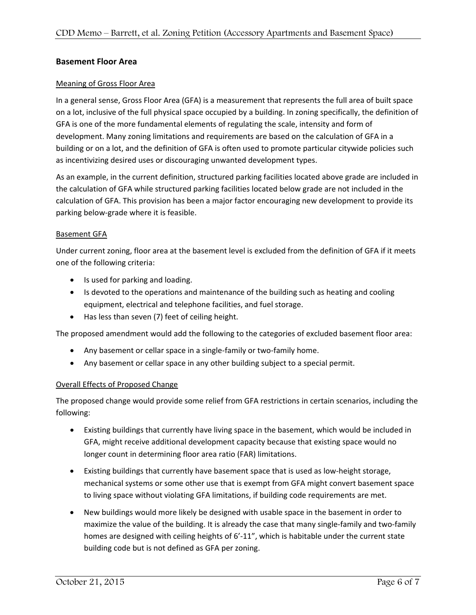## **Basement Floor Area**

## Meaning of Gross Floor Area

In a general sense, Gross Floor Area (GFA) is a measurement that represents the full area of built space on a lot, inclusive of the full physical space occupied by a building. In zoning specifically, the definition of GFA is one of the more fundamental elements of regulating the scale, intensity and form of development. Many zoning limitations and requirements are based on the calculation of GFA in a building or on a lot, and the definition of GFA is often used to promote particular citywide policies such as incentivizing desired uses or discouraging unwanted development types.

As an example, in the current definition, structured parking facilities located above grade are included in the calculation of GFA while structured parking facilities located below grade are not included in the calculation of GFA. This provision has been a major factor encouraging new development to provide its parking below‐grade where it is feasible.

## Basement GFA

Under current zoning, floor area at the basement level is excluded from the definition of GFA if it meets one of the following criteria:

- Is used for parking and loading.
- Is devoted to the operations and maintenance of the building such as heating and cooling equipment, electrical and telephone facilities, and fuel storage.
- Has less than seven (7) feet of ceiling height.

The proposed amendment would add the following to the categories of excluded basement floor area:

- Any basement or cellar space in a single-family or two-family home.
- Any basement or cellar space in any other building subject to a special permit.

## Overall Effects of Proposed Change

The proposed change would provide some relief from GFA restrictions in certain scenarios, including the following:

- Existing buildings that currently have living space in the basement, which would be included in GFA, might receive additional development capacity because that existing space would no longer count in determining floor area ratio (FAR) limitations.
- Existing buildings that currently have basement space that is used as low-height storage, mechanical systems or some other use that is exempt from GFA might convert basement space to living space without violating GFA limitations, if building code requirements are met.
- New buildings would more likely be designed with usable space in the basement in order to maximize the value of the building. It is already the case that many single‐family and two‐family homes are designed with ceiling heights of 6'-11", which is habitable under the current state building code but is not defined as GFA per zoning.